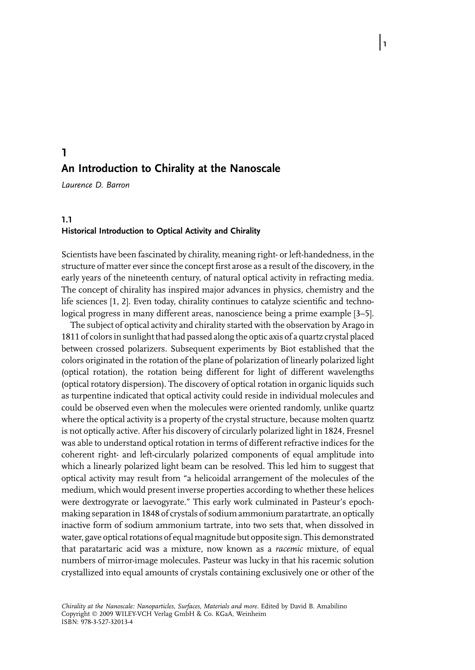Laurence D. Barron

1

# 1.1 Historical Introduction to Optical Activity and Chirality

Scientists have been fascinated by chirality, meaning right- or left-handedness, in the structure of matter ever since the concept first arose as a result of the discovery, in the early years of the nineteenth century, of natural optical activity in refracting media. The concept of chirality has inspired major advances in physics, chemistry and the life sciences [1, 2]. Even today, chirality continues to catalyze scientific and technological progress in many different areas, nanoscience being a prime example [3–5].

 $\vert$ 1

The subject of optical activity and chirality started with the observation by Arago in 1811 of colors in sunlight that had passed along the optic axis of a quartz crystal placed between crossed polarizers. Subsequent experiments by Biot established that the colors originated in the rotation of the plane of polarization of linearly polarized light (optical rotation), the rotation being different for light of different wavelengths (optical rotatory dispersion). The discovery of optical rotation in organic liquids such as turpentine indicated that optical activity could reside in individual molecules and could be observed even when the molecules were oriented randomly, unlike quartz where the optical activity is a property of the crystal structure, because molten quartz is not optically active. After his discovery of circularly polarized light in 1824, Fresnel was able to understand optical rotation in terms of different refractive indices for the coherent right- and left-circularly polarized components of equal amplitude into which a linearly polarized light beam can be resolved. This led him to suggest that optical activity may result from "a helicoidal arrangement of the molecules of the medium, which would present inverse properties according to whether these helices were dextrogyrate or laevogyrate." This early work culminated in Pasteur's epochmaking separation in 1848 of crystals of sodium ammonium paratartrate, an optically inactive form of sodium ammonium tartrate, into two sets that, when dissolved in water, gave optical rotations of equal magnitude but opposite sign. This demonstrated that paratartaric acid was a mixture, now known as a racemic mixture, of equal numbers of mirror-image molecules. Pasteur was lucky in that his racemic solution crystallized into equal amounts of crystals containing exclusively one or other of the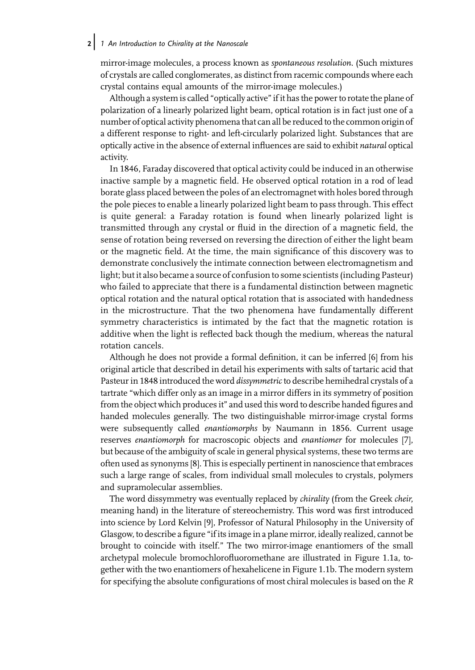mirror-image molecules, a process known as spontaneous resolution. (Such mixtures of crystals are called conglomerates, as distinct from racemic compounds where each crystal contains equal amounts of the mirror-image molecules.)

Although a system is called "optically active" if it has the power to rotate the plane of polarization of a linearly polarized light beam, optical rotation is in fact just one of a number of optical activity phenomena that can all be reduced to the common origin of a different response to right- and left-circularly polarized light. Substances that are optically active in the absence of external influences are said to exhibit natural optical activity.

In 1846, Faraday discovered that optical activity could be induced in an otherwise inactive sample by a magnetic field. He observed optical rotation in a rod of lead borate glass placed between the poles of an electromagnet with holes bored through the pole pieces to enable a linearly polarized light beam to pass through. This effect is quite general: a Faraday rotation is found when linearly polarized light is transmitted through any crystal or fluid in the direction of a magnetic field, the sense of rotation being reversed on reversing the direction of either the light beam or the magnetic field. At the time, the main significance of this discovery was to demonstrate conclusively the intimate connection between electromagnetism and light; but it also became a source of confusion to some scientists (including Pasteur) who failed to appreciate that there is a fundamental distinction between magnetic optical rotation and the natural optical rotation that is associated with handedness in the microstructure. That the two phenomena have fundamentally different symmetry characteristics is intimated by the fact that the magnetic rotation is additive when the light is reflected back though the medium, whereas the natural rotation cancels.

Although he does not provide a formal definition, it can be inferred [6] from his original article that described in detail his experiments with salts of tartaric acid that Pasteur in 1848 introduced the word dissymmetric to describe hemihedral crystals of a tartrate "which differ only as an image in a mirror differs in its symmetry of position from the object which produces it" and used this word to describe handed figures and handed molecules generally. The two distinguishable mirror-image crystal forms were subsequently called enantiomorphs by Naumann in 1856. Current usage reserves enantiomorph for macroscopic objects and enantiomer for molecules [7], but because of the ambiguity of scale in general physical systems, these two terms are often used as synonyms [8]. This is especially pertinent in nanoscience that embraces such a large range of scales, from individual small molecules to crystals, polymers and supramolecular assemblies.

The word dissymmetry was eventually replaced by chirality (from the Greek cheir, meaning hand) in the literature of stereochemistry. This word was first introduced into science by Lord Kelvin [9], Professor of Natural Philosophy in the University of Glasgow, to describe a figure "if its image in a plane mirror, ideally realized, cannot be brought to coincide with itself." The two mirror-image enantiomers of the small archetypal molecule bromochlorofluoromethane are illustrated in Figure 1.1a, together with the two enantiomers of hexahelicene in Figure 1.1b. The modern system for specifying the absolute configurations of most chiral molecules is based on the R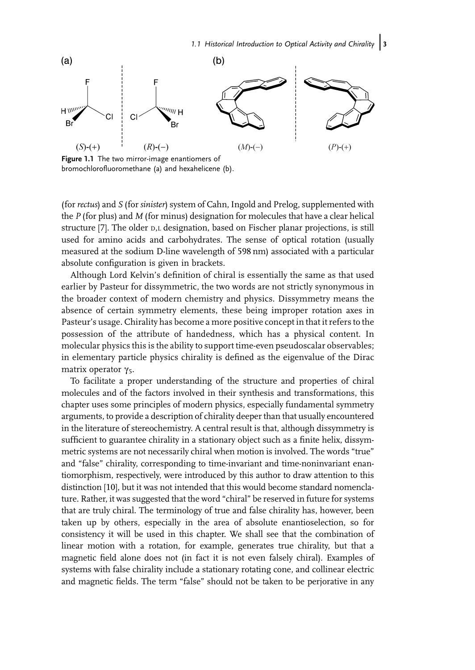

bromochlorofluoromethane (a) and hexahelicene (b).

(for rectus) and S (for sinister) system of Cahn, Ingold and Prelog, supplemented with the P (for plus) and M (for minus) designation for molecules that have a clear helical structure [7]. The older  $D$ , L designation, based on Fischer planar projections, is still used for amino acids and carbohydrates. The sense of optical rotation (usually measured at the sodium D-line wavelength of 598 nm) associated with a particular absolute configuration is given in brackets.

Although Lord Kelvin's definition of chiral is essentially the same as that used earlier by Pasteur for dissymmetric, the two words are not strictly synonymous in the broader context of modern chemistry and physics. Dissymmetry means the absence of certain symmetry elements, these being improper rotation axes in Pasteur's usage. Chirality has become a more positive concept in that it refers to the possession of the attribute of handedness, which has a physical content. In molecular physics this is the ability to support time-even pseudoscalar observables; in elementary particle physics chirality is defined as the eigenvalue of the Dirac matrix operator  $\gamma_5$ .

To facilitate a proper understanding of the structure and properties of chiral molecules and of the factors involved in their synthesis and transformations, this chapter uses some principles of modern physics, especially fundamental symmetry arguments, to provide a description of chirality deeper than that usually encountered in the literature of stereochemistry. A central result is that, although dissymmetry is sufficient to guarantee chirality in a stationary object such as a finite helix, dissymmetric systems are not necessarily chiral when motion is involved. The words "true" and "false" chirality, corresponding to time-invariant and time-noninvariant enantiomorphism, respectively, were introduced by this author to draw attention to this distinction [10], but it was not intended that this would become standard nomenclature. Rather, it was suggested that the word "chiral" be reserved in future for systems that are truly chiral. The terminology of true and false chirality has, however, been taken up by others, especially in the area of absolute enantioselection, so for consistency it will be used in this chapter. We shall see that the combination of linear motion with a rotation, for example, generates true chirality, but that a magnetic field alone does not (in fact it is not even falsely chiral). Examples of systems with false chirality include a stationary rotating cone, and collinear electric and magnetic fields. The term "false" should not be taken to be perjorative in any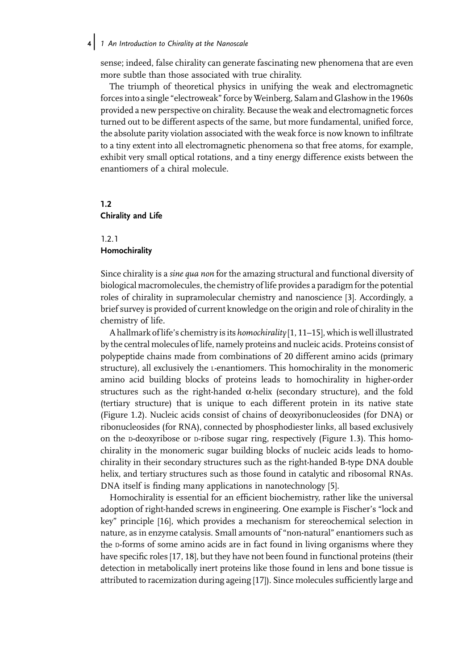sense; indeed, false chirality can generate fascinating new phenomena that are even more subtle than those associated with true chirality.

The triumph of theoretical physics in unifying the weak and electromagnetic forces into a single "electroweak" force by Weinberg, Salam and Glashow in the 1960s provided a new perspective on chirality. Because the weak and electromagnetic forces turned out to be different aspects of the same, but more fundamental, unified force, the absolute parity violation associated with the weak force is now known to infiltrate to a tiny extent into all electromagnetic phenomena so that free atoms, for example, exhibit very small optical rotations, and a tiny energy difference exists between the enantiomers of a chiral molecule.

# 1.2 Chirality and Life

### 1.2.1 Homochirality

Since chirality is a sine qua non for the amazing structural and functional diversity of biological macromolecules, the chemistry of life provides a paradigm for the potential roles of chirality in supramolecular chemistry and nanoscience [3]. Accordingly, a brief survey is provided of current knowledge on the origin and role of chirality in the chemistry of life.

A hallmark of life's chemistry is its homochirality  $[1, 11-15]$ , which is well illustrated by the central molecules of life, namely proteins and nucleic acids. Proteins consist of polypeptide chains made from combinations of 20 different amino acids (primary structure), all exclusively the L-enantiomers. This homochirality in the monomeric amino acid building blocks of proteins leads to homochirality in higher-order structures such as the right-handed  $\alpha$ -helix (secondary structure), and the fold (tertiary structure) that is unique to each different protein in its native state (Figure 1.2). Nucleic acids consist of chains of deoxyribonucleosides (for DNA) or ribonucleosides (for RNA), connected by phosphodiester links, all based exclusively on the D-deoxyribose or D-ribose sugar ring, respectively (Figure 1.3). This homochirality in the monomeric sugar building blocks of nucleic acids leads to homochirality in their secondary structures such as the right-handed B-type DNA double helix, and tertiary structures such as those found in catalytic and ribosomal RNAs. DNA itself is finding many applications in nanotechnology [5].

Homochirality is essential for an efficient biochemistry, rather like the universal adoption of right-handed screws in engineering. One example is Fischer's "lock and key" principle [16], which provides a mechanism for stereochemical selection in nature, as in enzyme catalysis. Small amounts of "non-natural" enantiomers such as the D-forms of some amino acids are in fact found in living organisms where they have specific roles [17, 18], but they have not been found in functional proteins (their detection in metabolically inert proteins like those found in lens and bone tissue is attributed to racemization during ageing [17]). Since molecules sufficiently large and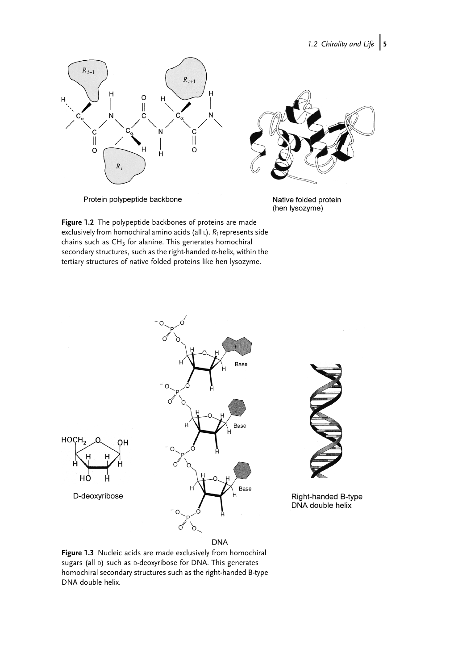

Protein polypeptide backbone

Native folded protein (hen lysozyme)

Figure 1.2 The polypeptide backbones of proteins are made exclusively from homochiral amino acids (all L).  $R_i$  represents side chains such as  $CH<sub>3</sub>$  for alanine. This generates homochiral secondary structures, such as the right-handed  $\alpha$ -helix, within the tertiary structures of native folded proteins like hen lysozyme.





Right-handed B-type DNA double helix

**DNA** 

Figure 1.3 Nucleic acids are made exclusively from homochiral sugars (all D) such as D-deoxyribose for DNA. This generates homochiral secondary structures such as the right-handed B-type DNA double helix.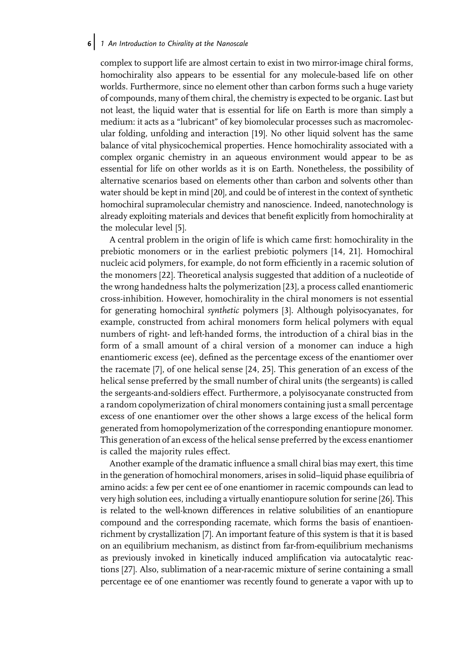complex to support life are almost certain to exist in two mirror-image chiral forms, homochirality also appears to be essential for any molecule-based life on other worlds. Furthermore, since no element other than carbon forms such a huge variety of compounds, many of them chiral, the chemistry is expected to be organic. Last but not least, the liquid water that is essential for life on Earth is more than simply a medium: it acts as a "lubricant" of key biomolecular processes such as macromolecular folding, unfolding and interaction [19]. No other liquid solvent has the same balance of vital physicochemical properties. Hence homochirality associated with a complex organic chemistry in an aqueous environment would appear to be as essential for life on other worlds as it is on Earth. Nonetheless, the possibility of alternative scenarios based on elements other than carbon and solvents other than water should be kept in mind [20], and could be of interest in the context of synthetic homochiral supramolecular chemistry and nanoscience. Indeed, nanotechnology is already exploiting materials and devices that benefit explicitly from homochirality at the molecular level [5].

A central problem in the origin of life is which came first: homochirality in the prebiotic monomers or in the earliest prebiotic polymers [14, 21]. Homochiral nucleic acid polymers, for example, do not form efficiently in a racemic solution of the monomers [22]. Theoretical analysis suggested that addition of a nucleotide of the wrong handedness halts the polymerization [23], a process called enantiomeric cross-inhibition. However, homochirality in the chiral monomers is not essential for generating homochiral synthetic polymers [3]. Although polyisocyanates, for example, constructed from achiral monomers form helical polymers with equal numbers of right- and left-handed forms, the introduction of a chiral bias in the form of a small amount of a chiral version of a monomer can induce a high enantiomeric excess (ee), defined as the percentage excess of the enantiomer over the racemate [7], of one helical sense [24, 25]. This generation of an excess of the helical sense preferred by the small number of chiral units (the sergeants) is called the sergeants-and-soldiers effect. Furthermore, a polyisocyanate constructed from a random copolymerization of chiral monomers containing just a small percentage excess of one enantiomer over the other shows a large excess of the helical form generated from homopolymerization of the corresponding enantiopure monomer. This generation of an excess of the helical sense preferred by the excess enantiomer is called the majority rules effect.

Another example of the dramatic influence a small chiral bias may exert, this time in the generation of homochiral monomers, arises in solid–liquid phase equilibria of amino acids: a few per cent ee of one enantiomer in racemic compounds can lead to very high solution ees, including a virtually enantiopure solution for serine [26]. This is related to the well-known differences in relative solubilities of an enantiopure compound and the corresponding racemate, which forms the basis of enantioenrichment by crystallization [7]. An important feature of this system is that it is based on an equilibrium mechanism, as distinct from far-from-equilibrium mechanisms as previously invoked in kinetically induced amplification via autocatalytic reactions [27]. Also, sublimation of a near-racemic mixture of serine containing a small percentage ee of one enantiomer was recently found to generate a vapor with up to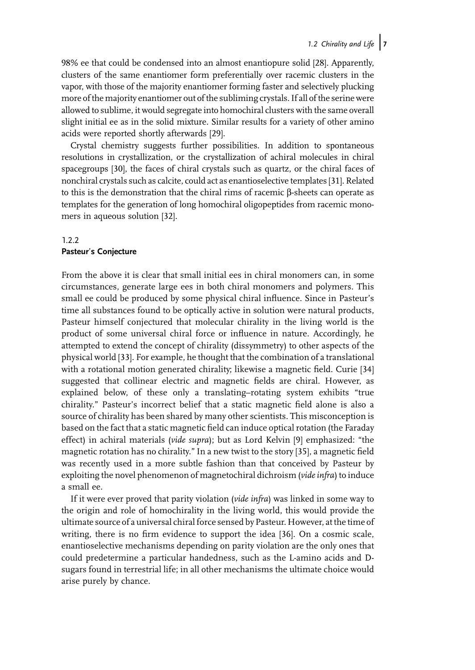98% ee that could be condensed into an almost enantiopure solid [28]. Apparently, clusters of the same enantiomer form preferentially over racemic clusters in the vapor, with those of the majority enantiomer forming faster and selectively plucking more of the majority enantiomer out of the subliming crystals. If all of the serine were allowed to sublime, it would segregate into homochiral clusters with the same overall slight initial ee as in the solid mixture. Similar results for a variety of other amino acids were reported shortly afterwards [29].

Crystal chemistry suggests further possibilities. In addition to spontaneous resolutions in crystallization, or the crystallization of achiral molecules in chiral spacegroups [30], the faces of chiral crystals such as quartz, or the chiral faces of nonchiral crystals such as calcite, could act as enantioselective templates [31]. Related to this is the demonstration that the chiral rims of racemic  $\beta$ -sheets can operate as templates for the generation of long homochiral oligopeptides from racemic monomers in aqueous solution [32].

### 1.2.2

# Pasteur's Conjecture

From the above it is clear that small initial ees in chiral monomers can, in some circumstances, generate large ees in both chiral monomers and polymers. This small ee could be produced by some physical chiral influence. Since in Pasteur's time all substances found to be optically active in solution were natural products, Pasteur himself conjectured that molecular chirality in the living world is the product of some universal chiral force or influence in nature. Accordingly, he attempted to extend the concept of chirality (dissymmetry) to other aspects of the physical world [33]. For example, he thought that the combination of a translational with a rotational motion generated chirality; likewise a magnetic field. Curie [34] suggested that collinear electric and magnetic fields are chiral. However, as explained below, of these only a translating-rotating system exhibits "true chirality." Pasteur's incorrect belief that a static magnetic field alone is also a source of chirality has been shared by many other scientists. This misconception is based on the fact that a static magnetic field can induce optical rotation (the Faraday effect) in achiral materials (vide supra); but as Lord Kelvin [9] emphasized: "the magnetic rotation has no chirality." In a new twist to the story [35], a magnetic field was recently used in a more subtle fashion than that conceived by Pasteur by exploiting the novel phenomenon of magnetochiral dichroism (vide infra) to induce a small ee.

If it were ever proved that parity violation (vide infra) was linked in some way to the origin and role of homochirality in the living world, this would provide the ultimate source of a universal chiral force sensed by Pasteur. However, at the time of writing, there is no firm evidence to support the idea [36]. On a cosmic scale, enantioselective mechanisms depending on parity violation are the only ones that could predetermine a particular handedness, such as the L-amino acids and Dsugars found in terrestrial life; in all other mechanisms the ultimate choice would arise purely by chance.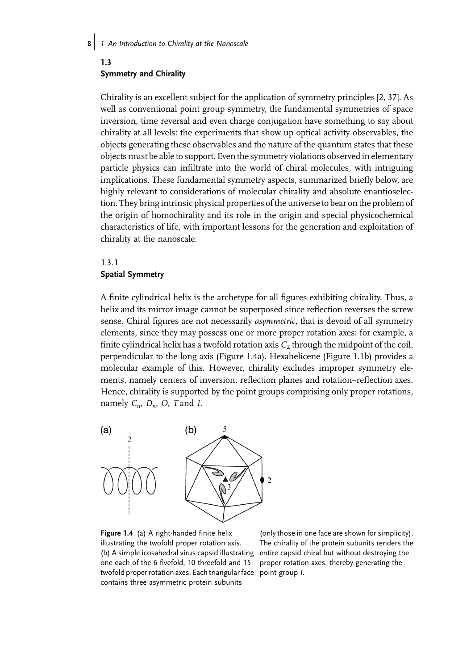### 1.3 Symmetry and Chirality

Chirality is an excellent subject for the application of symmetry principles [2, 37]. As well as conventional point group symmetry, the fundamental symmetries of space inversion, time reversal and even charge conjugation have something to say about chirality at all levels: the experiments that show up optical activity observables, the objects generating these observables and the nature of the quantum states that these objects must be able to support. Even the symmetry violations observed in elementary particle physics can infiltrate into the world of chiral molecules, with intriguing implications. These fundamental symmetry aspects, summarized briefly below, are highly relevant to considerations of molecular chirality and absolute enantioselection. They bring intrinsic physical properties of the universe to bear on the problem of the origin of homochirality and its role in the origin and special physicochemical characteristics of life, with important lessons for the generation and exploitation of chirality at the nanoscale.

### 1.3.1 Spatial Symmetry

A finite cylindrical helix is the archetype for all figures exhibiting chirality. Thus, a helix and its mirror image cannot be superposed since reflection reverses the screw sense. Chiral figures are not necessarily asymmetric, that is devoid of all symmetry elements, since they may possess one or more proper rotation axes: for example, a finite cylindrical helix has a twofold rotation axis  $C_2$  through the midpoint of the coil, perpendicular to the long axis (Figure 1.4a). Hexahelicene (Figure 1.1b) provides a molecular example of this. However, chirality excludes improper symmetry elements, namely centers of inversion, reflection planes and rotation–reflection axes. Hence, chirality is supported by the point groups comprising only proper rotations, namely  $C_n$ ,  $D_n$ ,  $O$ ,  $T$  and  $I$ .



Figure 1.4 (a) A right-handed finite helix illustrating the twofold proper rotation axis. (b) A simple icosahedral virus capsid illustrating one each of the 6 fivefold, 10 threefold and 15 twofold proper rotation axes. Each triangular face point group I. contains three asymmetric protein subunits

(only those in one face are shown for simplicity). The chirality of the protein subunits renders the entire capsid chiral but without destroying the proper rotation axes, thereby generating the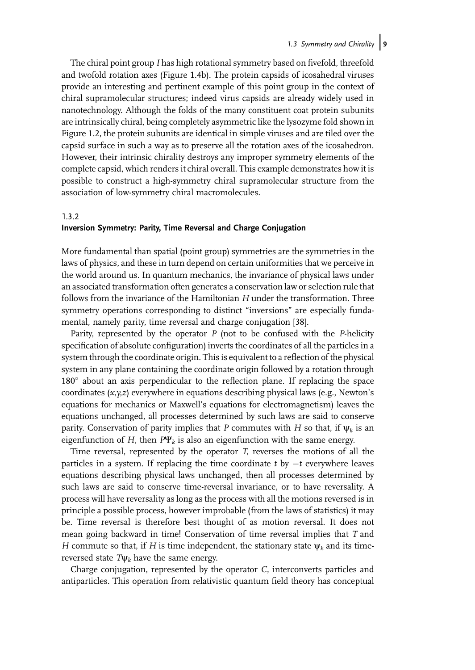The chiral point group I has high rotational symmetry based on fivefold, threefold and twofold rotation axes (Figure 1.4b). The protein capsids of icosahedral viruses provide an interesting and pertinent example of this point group in the context of chiral supramolecular structures; indeed virus capsids are already widely used in nanotechnology. Although the folds of the many constituent coat protein subunits are intrinsically chiral, being completely asymmetric like the lysozyme fold shown in Figure 1.2, the protein subunits are identical in simple viruses and are tiled over the capsid surface in such a way as to preserve all the rotation axes of the icosahedron. However, their intrinsic chirality destroys any improper symmetry elements of the complete capsid, which renders it chiral overall. This example demonstrates how it is possible to construct a high-symmetry chiral supramolecular structure from the association of low-symmetry chiral macromolecules.

# 1.3.2 Inversion Symmetry: Parity, Time Reversal and Charge Conjugation

More fundamental than spatial (point group) symmetries are the symmetries in the laws of physics, and these in turn depend on certain uniformities that we perceive in the world around us. In quantum mechanics, the invariance of physical laws under an associated transformation often generates a conservation law or selection rule that follows from the invariance of the Hamiltonian H under the transformation. Three symmetry operations corresponding to distinct "inversions" are especially fundamental, namely parity, time reversal and charge conjugation [38].

Parity, represented by the operator  $P$  (not to be confused with the  $P$ -helicity specification of absolute configuration) inverts the coordinates of all the particles in a system through the coordinate origin. This is equivalent to a reflection of the physical system in any plane containing the coordinate origin followed by a rotation through  $180^\circ$  about an axis perpendicular to the reflection plane. If replacing the space coordinates  $(x,y,z)$  everywhere in equations describing physical laws (e.g., Newton's equations for mechanics or Maxwell's equations for electromagnetism) leaves the equations unchanged, all processes determined by such laws are said to conserve parity. Conservation of parity implies that P commutes with H so that, if  $\psi_k$  is an eigenfunction of H, then  $P\Psi_k$  is also an eigenfunction with the same energy.

Time reversal, represented by the operator T, reverses the motions of all the particles in a system. If replacing the time coordinate  $t$  by  $-t$  everywhere leaves equations describing physical laws unchanged, then all processes determined by such laws are said to conserve time-reversal invariance, or to have reversality. A process will have reversality as long as the process with all the motions reversed is in principle a possible process, however improbable (from the laws of statistics) it may be. Time reversal is therefore best thought of as motion reversal. It does not mean going backward in time! Conservation of time reversal implies that T and H commute so that, if H is time independent, the stationary state  $\psi_k$  and its timereversed state  $T\psi_k$  have the same energy.

Charge conjugation, represented by the operator C, interconverts particles and antiparticles. This operation from relativistic quantum field theory has conceptual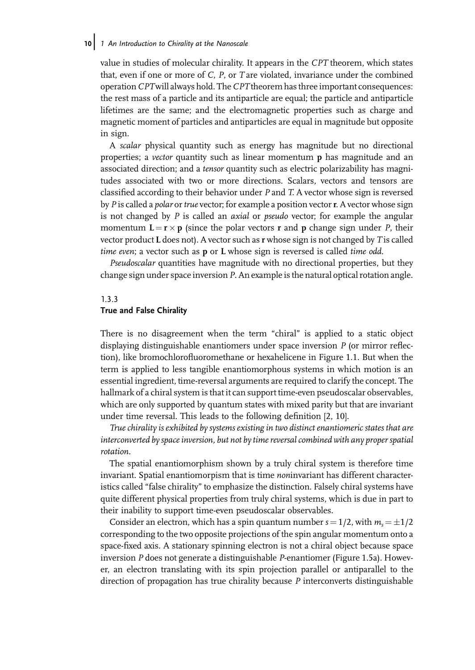value in studies of molecular chirality. It appears in the CPT theorem, which states that, even if one or more of C, P, or T are violated, invariance under the combined operation CPT will always hold. The CPT theorem has three important consequences: the rest mass of a particle and its antiparticle are equal; the particle and antiparticle lifetimes are the same; and the electromagnetic properties such as charge and magnetic moment of particles and antiparticles are equal in magnitude but opposite in sign.

A scalar physical quantity such as energy has magnitude but no directional properties; a vector quantity such as linear momentum p has magnitude and an associated direction; and a tensor quantity such as electric polarizability has magnitudes associated with two or more directions. Scalars, vectors and tensors are classified according to their behavior under P and T. A vector whose sign is reversed by  $P$  is called a *polar* or true vector; for example a position vector  $r$ . A vector whose sign is not changed by P is called an axial or pseudo vector; for example the angular momentum  $L = r \times p$  (since the polar vectors r and p change sign under P, their vector product L does not). A vector such as r whose sign is not changed by T is called time even; a vector such as  $p$  or  $L$  whose sign is reversed is called time odd.

Pseudoscalar quantities have magnitude with no directional properties, but they change sign under space inversion P. An example is the natural optical rotation angle.

#### 1.3.3

#### True and False Chirality

There is no disagreement when the term "chiral" is applied to a static object displaying distinguishable enantiomers under space inversion  $P$  (or mirror reflection), like bromochlorofluoromethane or hexahelicene in Figure 1.1. But when the term is applied to less tangible enantiomorphous systems in which motion is an essential ingredient, time-reversal arguments are required to clarify the concept. The hallmark of a chiral system is that it can support time-even pseudoscalar observables, which are only supported by quantum states with mixed parity but that are invariant under time reversal. This leads to the following definition [2, 10].

True chirality is exhibited by systems existing in two distinct enantiomeric states that are interconverted by space inversion, but not by time reversal combined with any proper spatial rotation.

The spatial enantiomorphism shown by a truly chiral system is therefore time invariant. Spatial enantiomorpism that is time noninvariant has different characteristics called "false chirality" to emphasize the distinction. Falsely chiral systems have quite different physical properties from truly chiral systems, which is due in part to their inability to support time-even pseudoscalar observables.

Consider an electron, which has a spin quantum number  $s = 1/2$ , with  $m_s = \pm 1/2$ corresponding to the two opposite projections of the spin angular momentum onto a space-fixed axis. A stationary spinning electron is not a chiral object because space inversion P does not generate a distinguishable P-enantiomer (Figure 1.5a). However, an electron translating with its spin projection parallel or antiparallel to the direction of propagation has true chirality because P interconverts distinguishable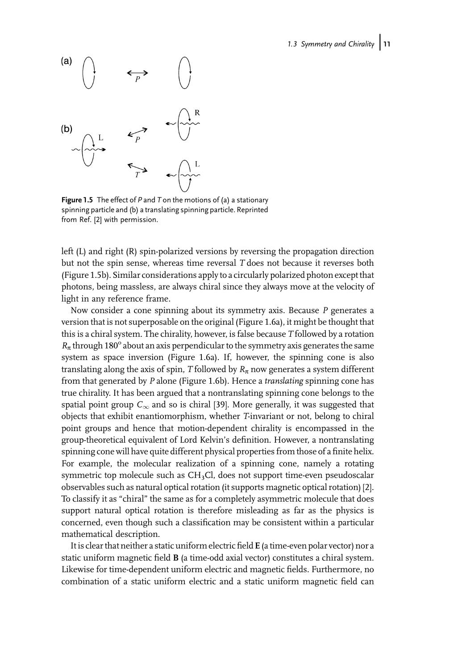

**Figure 1.5** The effect of P and T on the motions of (a) a stationary spinning particle and (b) a translating spinning particle. Reprinted from Ref. [2] with permission.

left (L) and right (R) spin-polarized versions by reversing the propagation direction but not the spin sense, whereas time reversal T does not because it reverses both (Figure 1.5b). Similar considerations apply to a circularly polarized photon except that photons, being massless, are always chiral since they always move at the velocity of light in any reference frame.

Now consider a cone spinning about its symmetry axis. Because P generates a version that is not superposable on the original (Figure 1.6a), it might be thought that this is a chiral system. The chirality, however, is false because T followed by a rotation  $R_{\pi}$  through 180<sup>°</sup> about an axis perpendicular to the symmetry axis generates the same system as space inversion (Figure 1.6a). If, however, the spinning cone is also translating along the axis of spin, T followed by  $R_{\pi}$  now generates a system different from that generated by P alone (Figure 1.6b). Hence a translating spinning cone has true chirality. It has been argued that a nontranslating spinning cone belongs to the spatial point group  $C_{\infty}$  and so is chiral [39]. More generally, it was suggested that objects that exhibit enantiomorphism, whether T-invariant or not, belong to chiral point groups and hence that motion-dependent chirality is encompassed in the group-theoretical equivalent of Lord Kelvin's definition. However, a nontranslating spinning cone will have quite different physical properties from those of a finite helix. For example, the molecular realization of a spinning cone, namely a rotating symmetric top molecule such as  $CH<sub>3</sub>Cl$ , does not support time-even pseudoscalar observables such as natural optical rotation (it supports magnetic optical rotation) [2]. To classify it as "chiral" the same as for a completely asymmetric molecule that does support natural optical rotation is therefore misleading as far as the physics is concerned, even though such a classification may be consistent within a particular mathematical description.

It is clear that neither a static uniform electric field E (a time-even polar vector) nor a static uniform magnetic field B (a time-odd axial vector) constitutes a chiral system. Likewise for time-dependent uniform electric and magnetic fields. Furthermore, no combination of a static uniform electric and a static uniform magnetic field can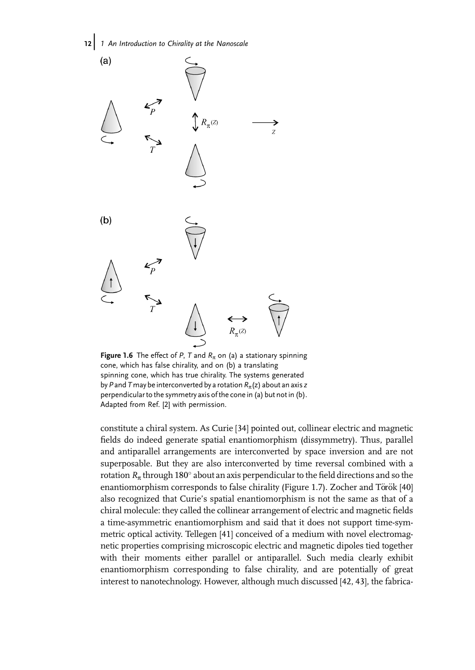

Figure 1.6 The effect of P, T and  $R_{\pi}$  on (a) a stationary spinning cone, which has false chirality, and on (b) a translating spinning cone, which has true chirality. The systems generated by P and T may be interconverted by a rotation  $R_\pi(z)$  about an axis z perpendicular to the symmetry axis of the cone in (a) but not in (b). Adapted from Ref. [2] with permission.

constitute a chiral system. As Curie [34] pointed out, collinear electric and magnetic fields do indeed generate spatial enantiomorphism (dissymmetry). Thus, parallel and antiparallel arrangements are interconverted by space inversion and are not superposable. But they are also interconverted by time reversal combined with a rotation  $R_{\pi}$  through 180 $^{\circ}$  about an axis perpendicular to the field directions and so the enantiomorphism corresponds to false chirality (Figure 1.7). Zocher and Török [40] also recognized that Curie's spatial enantiomorphism is not the same as that of a chiral molecule: they called the collinear arrangement of electric and magnetic fields a time-asymmetric enantiomorphism and said that it does not support time-symmetric optical activity. Tellegen [41] conceived of a medium with novel electromagnetic properties comprising microscopic electric and magnetic dipoles tied together with their moments either parallel or antiparallel. Such media clearly exhibit enantiomorphism corresponding to false chirality, and are potentially of great interest to nanotechnology. However, although much discussed [42, 43], the fabrica-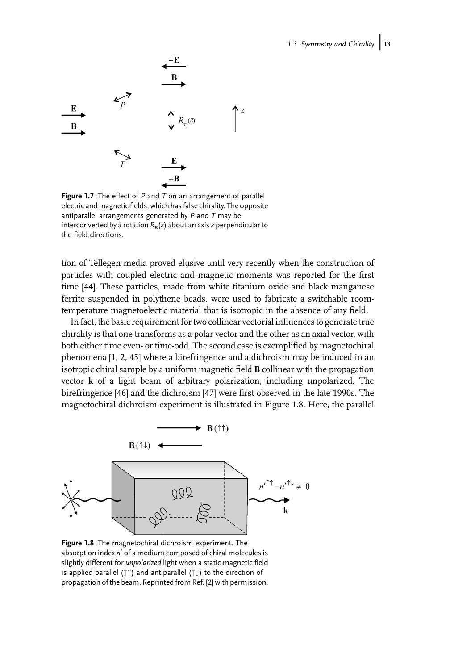

Figure 1.7 The effect of  $P$  and  $T$  on an arrangement of parallel electric and magnetic fields, which has false chirality. The opposite antiparallel arrangements generated by P and T may be interconverted by a rotation  $R_\pi(z)$  about an axis z perpendicular to the field directions.

tion of Tellegen media proved elusive until very recently when the construction of particles with coupled electric and magnetic moments was reported for the first time [44]. These particles, made from white titanium oxide and black manganese ferrite suspended in polythene beads, were used to fabricate a switchable roomtemperature magnetoelectic material that is isotropic in the absence of any field.

In fact, the basic requirement for two collinear vectorial influences to generate true chirality is that one transforms as a polar vector and the other as an axial vector, with both either time even- or time-odd. The second case is exemplified by magnetochiral phenomena [1, 2, 45] where a birefringence and a dichroism may be induced in an isotropic chiral sample by a uniform magnetic field B collinear with the propagation vector k of a light beam of arbitrary polarization, including unpolarized. The birefringence [46] and the dichroism [47] were first observed in the late 1990s. The magnetochiral dichroism experiment is illustrated in Figure 1.8. Here, the parallel



Figure 1.8 The magnetochiral dichroism experiment. The absorption index  $n'$  of a medium composed of chiral molecules is slightly different for unpolarized light when a static magnetic field is applied parallel ( $\uparrow\uparrow$ ) and antiparallel ( $\uparrow\downarrow$ ) to the direction of propagation of the beam. Reprinted from Ref. [2] with permission.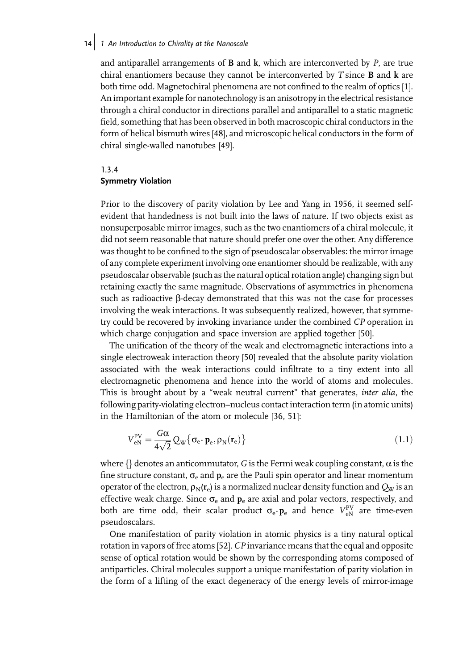and antiparallel arrangements of  $B$  and  $k$ , which are interconverted by  $P$ , are true chiral enantiomers because they cannot be interconverted by  $T$  since  $B$  and  $k$  are both time odd. Magnetochiral phenomena are not confined to the realm of optics [1]. An important example for nanotechnology is an anisotropy in the electrical resistance through a chiral conductor in directions parallel and antiparallel to a static magnetic field, something that has been observed in both macroscopic chiral conductors in the form of helical bismuth wires [48], and microscopic helical conductors in the form of chiral single-walled nanotubes [49].

#### 1.3.4

### Symmetry Violation

Prior to the discovery of parity violation by Lee and Yang in 1956, it seemed selfevident that handedness is not built into the laws of nature. If two objects exist as nonsuperposable mirror images, such as the two enantiomers of a chiral molecule, it did not seem reasonable that nature should prefer one over the other. Any difference was thought to be confined to the sign of pseudoscalar observables: the mirror image of any complete experiment involving one enantiomer should be realizable, with any pseudoscalar observable (such as the natural optical rotation angle) changing sign but retaining exactly the same magnitude. Observations of asymmetries in phenomena such as radioactive  $\beta$ -decay demonstrated that this was not the case for processes involving the weak interactions. It was subsequently realized, however, that symmetry could be recovered by invoking invariance under the combined CP operation in which charge conjugation and space inversion are applied together [50].

The unification of the theory of the weak and electromagnetic interactions into a single electroweak interaction theory [50] revealed that the absolute parity violation associated with the weak interactions could infiltrate to a tiny extent into all electromagnetic phenomena and hence into the world of atoms and molecules. This is brought about by a "weak neutral current" that generates, inter alia, the following parity-violating electron–nucleus contact interaction term (in atomic units) in the Hamiltonian of the atom or molecule [36, 51]:

$$
V_{\rm eN}^{\rm PV} = \frac{G\alpha}{4\sqrt{2}} Q_{\rm W} \{ \sigma_{\rm e} \cdot \mathbf{p}_{\rm e}, \rho_{\rm N}(\mathbf{r}_{\rm e}) \}
$$
(1.1)

where  $\{\}$  denotes an anticommutator, G is the Fermi weak coupling constant,  $\alpha$  is the fine structure constant,  $\sigma_e$  and  $p_e$  are the Pauli spin operator and linear momentum operator of the electron,  $\rho_N(r_e)$  is a normalized nuclear density function and  $Q_W$  is an effective weak charge. Since  $\sigma_e$  and  $p_e$  are axial and polar vectors, respectively, and both are time odd, their scalar product  $\sigma_e \cdot \mathbf{p}_e$  and hence  $V_{eN}^{PV}$  are time-even pseudoscalars.

One manifestation of parity violation in atomic physics is a tiny natural optical rotation in vapors of free atoms [52]. CP invariance means that the equal and opposite sense of optical rotation would be shown by the corresponding atoms composed of antiparticles. Chiral molecules support a unique manifestation of parity violation in the form of a lifting of the exact degeneracy of the energy levels of mirror-image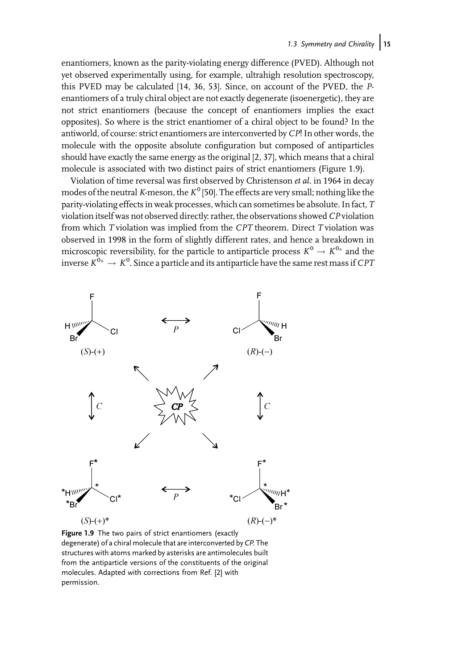enantiomers, known as the parity-violating energy difference (PVED). Although not yet observed experimentally using, for example, ultrahigh resolution spectroscopy, this PVED may be calculated [14, 36, 53]. Since, on account of the PVED, the Penantiomers of a truly chiral object are not exactly degenerate (isoenergetic), they are not strict enantiomers (because the concept of enantiomers implies the exact opposites). So where is the strict enantiomer of a chiral object to be found? In the antiworld, of course: strict enantiomers are interconverted by CP! In other words, the molecule with the opposite absolute configuration but composed of antiparticles should have exactly the same energy as the original [2, 37], which means that a chiral molecule is associated with two distinct pairs of strict enantiomers (Figure 1.9).

Violation of time reversal was first observed by Christenson et al. in 1964 in decay modes of the neutral K-meson, the  $K^0$  [50]. The effects are very small; nothing like the parity-violating effects in weak processes, which can sometimes be absolute. In fact, T violation itself was not observed directly: rather, the observations showed CP violation from which T violation was implied from the CPT theorem. Direct T violation was observed in 1998 in the form of slightly different rates, and hence a breakdown in microscopic reversibility, for the particle to antiparticle process  $K^0 \rightarrow K^{0*}$  and the inverse  $K^{0\ast}\rightarrow K^{0}.$  Since a particle and its antiparticle have the same rest mass if  $CPT$ 



Figure 1.9 The two pairs of strict enantiomers (exactly degenerate) of a chiral molecule that are interconverted by CP. The structures with atoms marked by asterisks are antimolecules built from the antiparticle versions of the constituents of the original molecules. Adapted with corrections from Ref. [2] with permission.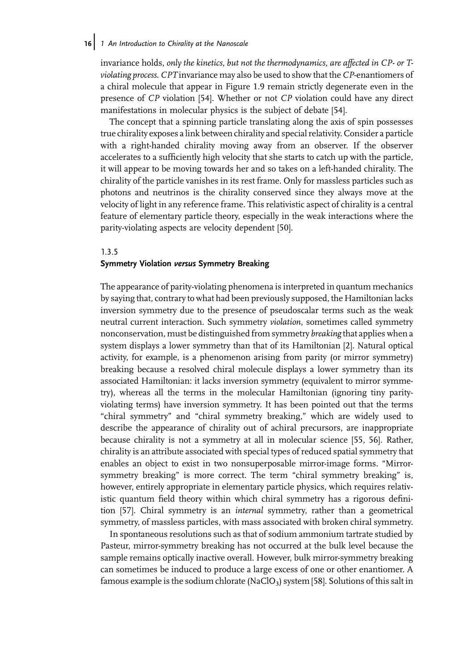invariance holds, only the kinetics, but not the thermodynamics, are affected in CP- or Tviolating process. CPTinvariance may also be used to show that the CP-enantiomers of a chiral molecule that appear in Figure 1.9 remain strictly degenerate even in the presence of CP violation [54]. Whether or not CP violation could have any direct manifestations in molecular physics is the subject of debate [54].

The concept that a spinning particle translating along the axis of spin possesses true chirality exposes a link between chirality and special relativity. Consider a particle with a right-handed chirality moving away from an observer. If the observer accelerates to a sufficiently high velocity that she starts to catch up with the particle, it will appear to be moving towards her and so takes on a left-handed chirality. The chirality of the particle vanishes in its rest frame. Only for massless particles such as photons and neutrinos is the chirality conserved since they always move at the velocity of light in any reference frame. This relativistic aspect of chirality is a central feature of elementary particle theory, especially in the weak interactions where the parity-violating aspects are velocity dependent [50].

#### 1.3.5

### Symmetry Violation versus Symmetry Breaking

The appearance of parity-violating phenomena is interpreted in quantum mechanics by saying that, contrary to what had been previously supposed, the Hamiltonian lacks inversion symmetry due to the presence of pseudoscalar terms such as the weak neutral current interaction. Such symmetry violation, sometimes called symmetry nonconservation, must be distinguished from symmetry breaking that applies when a system displays a lower symmetry than that of its Hamiltonian [2]. Natural optical activity, for example, is a phenomenon arising from parity (or mirror symmetry) breaking because a resolved chiral molecule displays a lower symmetry than its associated Hamiltonian: it lacks inversion symmetry (equivalent to mirror symmetry), whereas all the terms in the molecular Hamiltonian (ignoring tiny parityviolating terms) have inversion symmetry. It has been pointed out that the terms "chiral symmetry" and "chiral symmetry breaking," which are widely used to describe the appearance of chirality out of achiral precursors, are inappropriate because chirality is not a symmetry at all in molecular science [55, 56]. Rather, chirality is an attribute associated with special types of reduced spatial symmetry that enables an object to exist in two nonsuperposable mirror-image forms. "Mirrorsymmetry breaking" is more correct. The term "chiral symmetry breaking" is, however, entirely appropriate in elementary particle physics, which requires relativistic quantum field theory within which chiral symmetry has a rigorous definition [57]. Chiral symmetry is an internal symmetry, rather than a geometrical symmetry, of massless particles, with mass associated with broken chiral symmetry.

In spontaneous resolutions such as that of sodium ammonium tartrate studied by Pasteur, mirror-symmetry breaking has not occurred at the bulk level because the sample remains optically inactive overall. However, bulk mirror-symmetry breaking can sometimes be induced to produce a large excess of one or other enantiomer. A famous example is the sodium chlorate (NaClO<sub>3</sub>) system [58]. Solutions of this salt in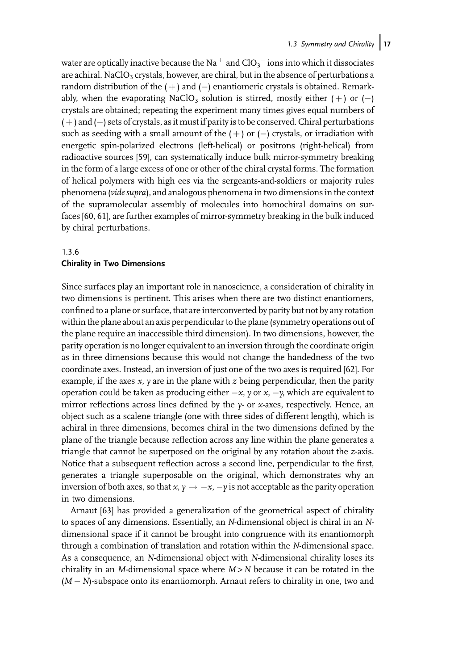water are optically inactive because the Na  $^+$  and ClO $_3^-$  ions into which it dissociates are achiral. NaClO<sub>3</sub> crystals, however, are chiral, but in the absence of perturbations a random distribution of the  $(+)$  and  $(-)$  enantiomeric crystals is obtained. Remarkably, when the evaporating NaClO<sub>3</sub> solution is stirred, mostly either  $(+)$  or  $(-)$ crystals are obtained; repeating the experiment many times gives equal numbers of  $(+)$  and  $(-)$  sets of crystals, as it must if parity is to be conserved. Chiral perturbations such as seeding with a small amount of the  $(+)$  or  $(-)$  crystals, or irradiation with energetic spin-polarized electrons (left-helical) or positrons (right-helical) from radioactive sources [59], can systematically induce bulk mirror-symmetry breaking in the form of a large excess of one or other of the chiral crystal forms. The formation of helical polymers with high ees via the sergeants-and-soldiers or majority rules phenomena (vide supra), and analogous phenomena in two dimensions in the context of the supramolecular assembly of molecules into homochiral domains on surfaces [60, 61], are further examples of mirror-symmetry breaking in the bulk induced by chiral perturbations.

# 1.3.6 Chirality in Two Dimensions

Since surfaces play an important role in nanoscience, a consideration of chirality in two dimensions is pertinent. This arises when there are two distinct enantiomers, confined to a plane or surface, that are interconverted by parity but not by any rotation within the plane about an axis perpendicular to the plane (symmetry operations out of the plane require an inaccessible third dimension). In two dimensions, however, the parity operation is no longer equivalent to an inversion through the coordinate origin as in three dimensions because this would not change the handedness of the two coordinate axes. Instead, an inversion of just one of the two axes is required [62]. For example, if the axes  $x$ ,  $y$  are in the plane with  $z$  being perpendicular, then the parity operation could be taken as producing either  $-x$ ,  $\gamma$  or  $x$ ,  $-\gamma$ , which are equivalent to mirror reflections across lines defined by the  $\gamma$ - or x-axes, respectively. Hence, an object such as a scalene triangle (one with three sides of different length), which is achiral in three dimensions, becomes chiral in the two dimensions defined by the plane of the triangle because reflection across any line within the plane generates a triangle that cannot be superposed on the original by any rotation about the z-axis. Notice that a subsequent reflection across a second line, perpendicular to the first, generates a triangle superposable on the original, which demonstrates why an inversion of both axes, so that  $\mathsf{x},\mathsf{y} \to -\mathsf{x},-\mathsf{y}$  is not acceptable as the parity operation in two dimensions.

Arnaut [63] has provided a generalization of the geometrical aspect of chirality to spaces of any dimensions. Essentially, an N-dimensional object is chiral in an Ndimensional space if it cannot be brought into congruence with its enantiomorph through a combination of translation and rotation within the N-dimensional space. As a consequence, an N-dimensional object with N-dimensional chirality loses its chirality in an *M*-dimensional space where  $M > N$  because it can be rotated in the  $(M-N)$ -subspace onto its enantiomorph. Arnaut refers to chirality in one, two and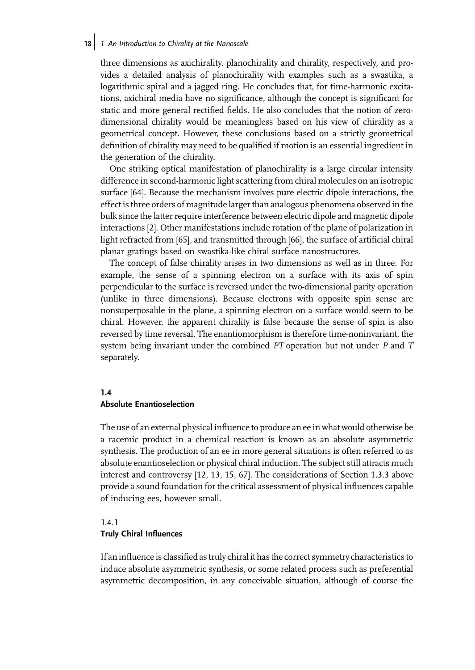three dimensions as axichirality, planochirality and chirality, respectively, and provides a detailed analysis of planochirality with examples such as a swastika, a logarithmic spiral and a jagged ring. He concludes that, for time-harmonic excitations, axichiral media have no significance, although the concept is significant for static and more general rectified fields. He also concludes that the notion of zerodimensional chirality would be meaningless based on his view of chirality as a geometrical concept. However, these conclusions based on a strictly geometrical definition of chirality may need to be qualified if motion is an essential ingredient in the generation of the chirality.

One striking optical manifestation of planochirality is a large circular intensity difference in second-harmonic light scattering from chiral molecules on an isotropic surface [64]. Because the mechanism involves pure electric dipole interactions, the effect is three orders of magnitude larger than analogous phenomena observed in the bulk since the latter require interference between electric dipole and magnetic dipole interactions [2]. Other manifestations include rotation of the plane of polarization in light refracted from [65], and transmitted through [66], the surface of artificial chiral planar gratings based on swastika-like chiral surface nanostructures.

The concept of false chirality arises in two dimensions as well as in three. For example, the sense of a spinning electron on a surface with its axis of spin perpendicular to the surface is reversed under the two-dimensional parity operation (unlike in three dimensions). Because electrons with opposite spin sense are nonsuperposable in the plane, a spinning electron on a surface would seem to be chiral. However, the apparent chirality is false because the sense of spin is also reversed by time reversal. The enantiomorphism is therefore time-noninvariant, the system being invariant under the combined PT operation but not under P and T separately.

#### 1.4

#### Absolute Enantioselection

The use of an external physical influence to produce an ee in what would otherwise be a racemic product in a chemical reaction is known as an absolute asymmetric synthesis. The production of an ee in more general situations is often referred to as absolute enantioselection or physical chiral induction. The subject still attracts much interest and controversy [12, 13, 15, 67]. The considerations of Section 1.3.3 above provide a sound foundation for the critical assessment of physical influences capable of inducing ees, however small.

### 1.4.1

### Truly Chiral Influences

If an influence is classified as truly chiral it has the correct symmetry characteristics to induce absolute asymmetric synthesis, or some related process such as preferential asymmetric decomposition, in any conceivable situation, although of course the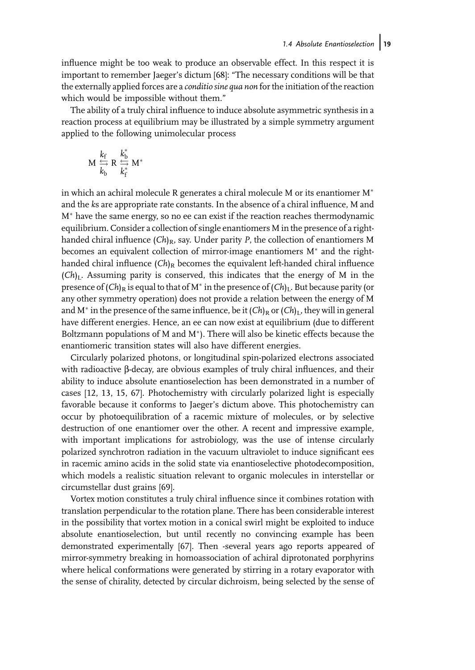influence might be too weak to produce an observable effect. In this respect it is important to remember Jaeger's dictum [68]: "The necessary conditions will be that the externally applied forces are a conditio sine qua non for the initiation of the reaction which would be impossible without them."

The ability of a truly chiral influence to induce absolute asymmetric synthesis in a reaction process at equilibrium may be illustrated by a simple symmetry argument applied to the following unimolecular process

$$
M \stackrel{k_f}{\underset{k_b}{\rightleftharpoons}} R \stackrel{k_b^*}{\underset{k_f^*}{\rightleftharpoons}} M^*
$$

in which an achiral molecule R generates a chiral molecule M or its enantiomer M and the ks are appropriate rate constants. In the absence of a chiral influence, M and  $M^*$  have the same energy, so no ee can exist if the reaction reaches thermodynamic equilibrium. Consider a collection of single enantiomers M in the presence of a righthanded chiral influence  $(Ch)_R$ , say. Under parity P, the collection of enantiomers M becomes an equivalent collection of mirror-image enantiomers  $M^*$  and the righthanded chiral influence  $(Ch)_{R}$  becomes the equivalent left-handed chiral influence  $(Ch)_L$ . Assuming parity is conserved, this indicates that the energy of M in the presence of  $(Ch)_{R}$  is equal to that of M<sup>\*</sup> in the presence of  $(Ch)_{L}$ . But because parity (or any other symmetry operation) does not provide a relation between the energy of M and M<sup>\*</sup> in the presence of the same influence, be it  $(Ch)_{R}$  or  $(Ch)_{L}$ , they will in general have different energies. Hence, an ee can now exist at equilibrium (due to different Boltzmann populations of M and  $M^*$ ). There will also be kinetic effects because the enantiomeric transition states will also have different energies.

Circularly polarized photons, or longitudinal spin-polarized electrons associated with radioactive  $\beta$ -decay, are obvious examples of truly chiral influences, and their ability to induce absolute enantioselection has been demonstrated in a number of cases [12, 13, 15, 67]. Photochemistry with circularly polarized light is especially favorable because it conforms to Jaeger's dictum above. This photochemistry can occur by photoequilibration of a racemic mixture of molecules, or by selective destruction of one enantiomer over the other. A recent and impressive example, with important implications for astrobiology, was the use of intense circularly polarized synchrotron radiation in the vacuum ultraviolet to induce significant ees in racemic amino acids in the solid state via enantioselective photodecomposition, which models a realistic situation relevant to organic molecules in interstellar or circumstellar dust grains [69].

Vortex motion constitutes a truly chiral influence since it combines rotation with translation perpendicular to the rotation plane. There has been considerable interest in the possibility that vortex motion in a conical swirl might be exploited to induce absolute enantioselection, but until recently no convincing example has been demonstrated experimentally [67]. Then -several years ago reports appeared of mirror-symmetry breaking in homoassociation of achiral diprotonated porphyrins where helical conformations were generated by stirring in a rotary evaporator with the sense of chirality, detected by circular dichroism, being selected by the sense of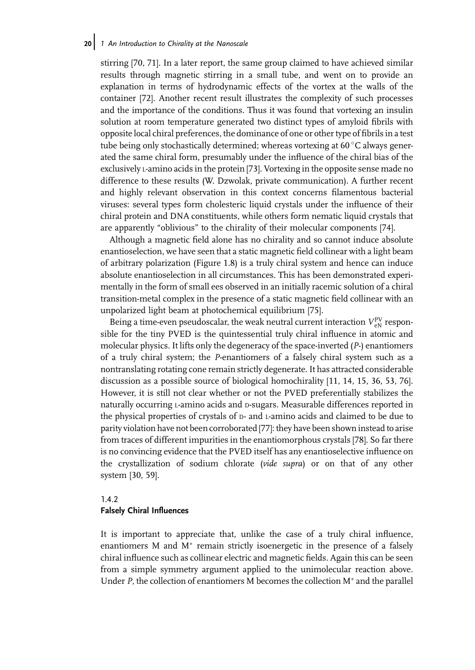stirring [70, 71]. In a later report, the same group claimed to have achieved similar results through magnetic stirring in a small tube, and went on to provide an explanation in terms of hydrodynamic effects of the vortex at the walls of the container [72]. Another recent result illustrates the complexity of such processes and the importance of the conditions. Thus it was found that vortexing an insulin solution at room temperature generated two distinct types of amyloid fibrils with opposite local chiral preferences, the dominance of one or other type of fibrils in a test tube being only stochastically determined; whereas vortexing at  $60^{\circ}$ C always generated the same chiral form, presumably under the influence of the chiral bias of the exclusively L-amino acids in the protein [73]. Vortexing in the opposite sense made no difference to these results (W. Dzwolak, private communication). A further recent and highly relevant observation in this context concerns filamentous bacterial viruses: several types form cholesteric liquid crystals under the influence of their chiral protein and DNA constituents, while others form nematic liquid crystals that are apparently "oblivious" to the chirality of their molecular components [74].

Although a magnetic field alone has no chirality and so cannot induce absolute enantioselection, we have seen that a static magnetic field collinear with a light beam of arbitrary polarization (Figure 1.8) is a truly chiral system and hence can induce absolute enantioselection in all circumstances. This has been demonstrated experimentally in the form of small ees observed in an initially racemic solution of a chiral transition-metal complex in the presence of a static magnetic field collinear with an unpolarized light beam at photochemical equilibrium [75].

Being a time-even pseudoscalar, the weak neutral current interaction  $V_{\mathrm{eN}}^\mathrm{PV}$  responsible for the tiny PVED is the quintessential truly chiral influence in atomic and molecular physics. It lifts only the degeneracy of the space-inverted  $(P)$  enantiomers of a truly chiral system; the P-enantiomers of a falsely chiral system such as a nontranslating rotating cone remain strictly degenerate. It has attracted considerable discussion as a possible source of biological homochirality [11, 14, 15, 36, 53, 76]. However, it is still not clear whether or not the PVED preferentially stabilizes the naturally occurring L-amino acids and D-sugars. Measurable differences reported in the physical properties of crystals of D- and L-amino acids and claimed to be due to parity violation have not been corroborated [77]: they have been shown instead to arise from traces of different impurities in the enantiomorphous crystals [78]. So far there is no convincing evidence that the PVED itself has any enantioselective influence on the crystallization of sodium chlorate (vide supra) or on that of any other system [30, 59].

#### 1.4.2

#### Falsely Chiral Influences

It is important to appreciate that, unlike the case of a truly chiral influence, enantiomers M and  $M^*$  remain strictly isoenergetic in the presence of a falsely chiral influence such as collinear electric and magnetic fields. Again this can be seen from a simple symmetry argument applied to the unimolecular reaction above. Under P, the collection of enantiomers M becomes the collection  $M^*$  and the parallel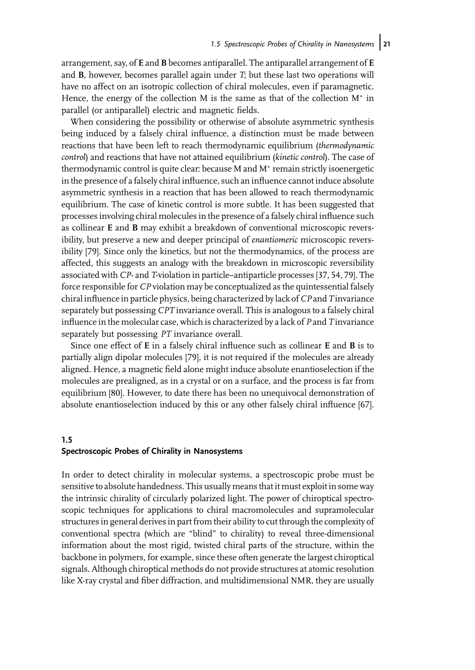arrangement, say, of  $E$  and  $B$  becomes antiparallel. The antiparallel arrangement of  $E$ and B, however, becomes parallel again under T; but these last two operations will have no affect on an isotropic collection of chiral molecules, even if paramagnetic. Hence, the energy of the collection  $M$  is the same as that of the collection  $M^*$  in parallel (or antiparallel) electric and magnetic fields.

When considering the possibility or otherwise of absolute asymmetric synthesis being induced by a falsely chiral influence, a distinction must be made between reactions that have been left to reach thermodynamic equilibrium (thermodynamic control) and reactions that have not attained equilibrium (kinetic control). The case of thermodynamic control is quite clear: because M and M<sup>\*</sup> remain strictly isoenergetic in the presence of a falsely chiral influence, such an influence cannot induce absolute asymmetric synthesis in a reaction that has been allowed to reach thermodynamic equilibrium. The case of kinetic control is more subtle. It has been suggested that processes involving chiral molecules in the presence of a falsely chiral influence such as collinear E and B may exhibit a breakdown of conventional microscopic reversibility, but preserve a new and deeper principal of enantiomeric microscopic reversibility [79]. Since only the kinetics, but not the thermodynamics, of the process are affected, this suggests an analogy with the breakdown in microscopic reversibility associated with CP- and T-violation in particle–antiparticle processes [37, 54, 79]. The force responsible for CP violation may be conceptualized as the quintessential falsely chiral influence in particle physics, being characterized by lack of CP and Tinvariance separately but possessing CPT invariance overall. This is analogous to a falsely chiral influence in the molecular case, which is characterized by a lack of P and T invariance separately but possessing PT invariance overall.

Since one effect of E in a falsely chiral influence such as collinear E and B is to partially align dipolar molecules [79], it is not required if the molecules are already aligned. Hence, a magnetic field alone might induce absolute enantioselection if the molecules are prealigned, as in a crystal or on a surface, and the process is far from equilibrium [80]. However, to date there has been no unequivocal demonstration of absolute enantioselection induced by this or any other falsely chiral influence [67].

# 1.5 Spectroscopic Probes of Chirality in Nanosystems

In order to detect chirality in molecular systems, a spectroscopic probe must be sensitive to absolute handedness. This usually means that it must exploit in some way the intrinsic chirality of circularly polarized light. The power of chiroptical spectroscopic techniques for applications to chiral macromolecules and supramolecular structures in general derives in part from their ability to cut through the complexity of conventional spectra (which are "blind" to chirality) to reveal three-dimensional information about the most rigid, twisted chiral parts of the structure, within the backbone in polymers, for example, since these often generate the largest chiroptical signals. Although chiroptical methods do not provide structures at atomic resolution like X-ray crystal and fiber diffraction, and multidimensional NMR, they are usually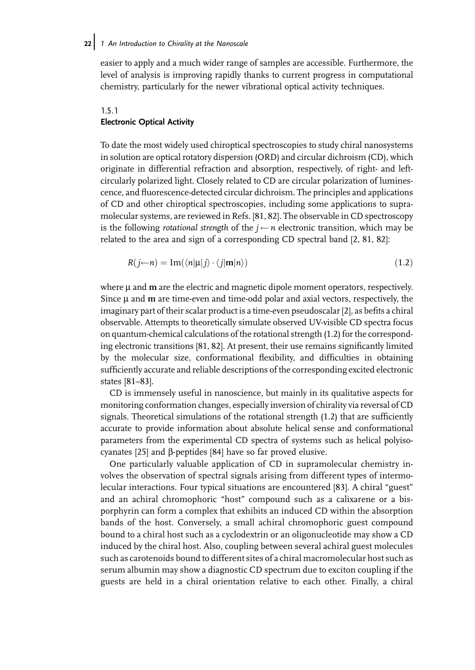easier to apply and a much wider range of samples are accessible. Furthermore, the level of analysis is improving rapidly thanks to current progress in computational chemistry, particularly for the newer vibrational optical activity techniques.

### 1.5.1 Electronic Optical Activity

To date the most widely used chiroptical spectroscopies to study chiral nanosystems in solution are optical rotatory dispersion (ORD) and circular dichroism (CD), which originate in differential refraction and absorption, respectively, of right- and leftcircularly polarized light. Closely related to CD are circular polarization of luminescence, and fluorescence-detected circular dichroism. The principles and applications of CD and other chiroptical spectroscopies, including some applications to supramolecular systems, are reviewed in Refs. [81, 82]. The observable in CD spectroscopy is the following *rotational strength* of the  $j \leftarrow n$  electronic transition, which may be related to the area and sign of a corresponding CD spectral band [2, 81, 82]:

$$
R(j \leftarrow n) = \text{Im}(\langle n|\mu|j \rangle \cdot \langle j|\mathbf{m}|n \rangle) \tag{1.2}
$$

where  $\mu$  and  $\mathbf m$  are the electric and magnetic dipole moment operators, respectively. Since  $\mu$  and  $\bf{m}$  are time-even and time-odd polar and axial vectors, respectively, the imaginary part of their scalar product is a time-even pseudoscalar [2], as befits a chiral observable. Attempts to theoretically simulate observed UV-visible CD spectra focus on quantum-chemical calculations of the rotational strength (1.2) for the corresponding electronic transitions [81, 82]. At present, their use remains significantly limited by the molecular size, conformational flexibility, and difficulties in obtaining sufficiently accurate and reliable descriptions of the corresponding excited electronic states [81–83].

CD is immensely useful in nanoscience, but mainly in its qualitative aspects for monitoring conformation changes, especially inversion of chirality via reversal of CD signals. Theoretical simulations of the rotational strength (1.2) that are sufficiently accurate to provide information about absolute helical sense and conformational parameters from the experimental CD spectra of systems such as helical polyisocyanates  $[25]$  and  $\beta$ -peptides  $[84]$  have so far proved elusive.

One particularly valuable application of CD in supramolecular chemistry involves the observation of spectral signals arising from different types of intermolecular interactions. Four typical situations are encountered [83]. A chiral "guest" and an achiral chromophoric "host" compound such as a calixarene or a bisporphyrin can form a complex that exhibits an induced CD within the absorption bands of the host. Conversely, a small achiral chromophoric guest compound bound to a chiral host such as a cyclodextrin or an oligonucleotide may show a CD induced by the chiral host. Also, coupling between several achiral guest molecules such as carotenoids bound to different sites of a chiral macromolecular host such as serum albumin may show a diagnostic CD spectrum due to exciton coupling if the guests are held in a chiral orientation relative to each other. Finally, a chiral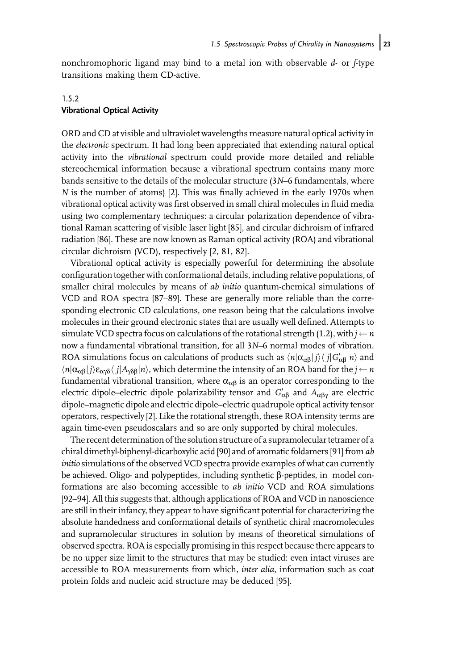nonchromophoric ligand may bind to a metal ion with observable  $d$ - or f-type transitions making them CD-active.

### 1.5.2 Vibrational Optical Activity

ORD and CD at visible and ultraviolet wavelengths measure natural optical activity in the electronic spectrum. It had long been appreciated that extending natural optical activity into the vibrational spectrum could provide more detailed and reliable stereochemical information because a vibrational spectrum contains many more bands sensitive to the details of the molecular structure (3N–6 fundamentals, where N is the number of atoms) [2]. This was finally achieved in the early 1970s when vibrational optical activity was first observed in small chiral molecules in fluid media using two complementary techniques: a circular polarization dependence of vibrational Raman scattering of visible laser light [85], and circular dichroism of infrared radiation [86]. These are now known as Raman optical activity (ROA) and vibrational circular dichroism (VCD), respectively [2, 81, 82].

Vibrational optical activity is especially powerful for determining the absolute configuration together with conformational details, including relative populations, of smaller chiral molecules by means of *ab initio* quantum-chemical simulations of VCD and ROA spectra [87–89]. These are generally more reliable than the corresponding electronic CD calculations, one reason being that the calculations involve molecules in their ground electronic states that are usually well defined. Attempts to simulate VCD spectra focus on calculations of the rotational strength (1.2), with  $j \leftarrow n$ now a fundamental vibrational transition, for all 3N–6 normal modes of vibration. ROA simulations focus on calculations of products such as  $\langle n|\alpha_{\alpha\beta}|j\rangle\langle j|G'_{\alpha\beta}|n\rangle$  and  $\langle n|\alpha_{\alpha\beta}|j\rangle\varepsilon_{\alpha\gamma\delta}\langle j|A_{\gamma\delta\beta}|n\rangle$ , which determine the intensity of an ROA band for the  $j\leftarrow n$ fundamental vibrational transition, where  $\alpha_{\alpha\beta}$  is an operator corresponding to the electric dipole–electric dipole polarizability tensor and  $G'_{\alpha\beta}$  and  $A_{\alpha\beta\gamma}$  are electric dipole–magnetic dipole and electric dipole–electric quadrupole optical activity tensor operators, respectively [2]. Like the rotational strength, these ROA intensity terms are again time-even pseudoscalars and so are only supported by chiral molecules.

The recent determination of the solution structure of a supramolecular tetramer of a chiral dimethyl-biphenyl-dicarboxylic acid [90] and of aromatic foldamers [91] from ab initio simulations of the observed VCD spectra provide examples of what can currently be achieved. Oligo- and polypeptides, including synthetic  $\beta$ -peptides, in model conformations are also becoming accessible to ab initio VCD and ROA simulations [92–94]. All this suggests that, although applications of ROA and VCD in nanoscience are still in their infancy, they appear to have significant potential for characterizing the absolute handedness and conformational details of synthetic chiral macromolecules and supramolecular structures in solution by means of theoretical simulations of observed spectra. ROA is especially promising in this respect because there appears to be no upper size limit to the structures that may be studied: even intact viruses are accessible to ROA measurements from which, inter alia, information such as coat protein folds and nucleic acid structure may be deduced [95].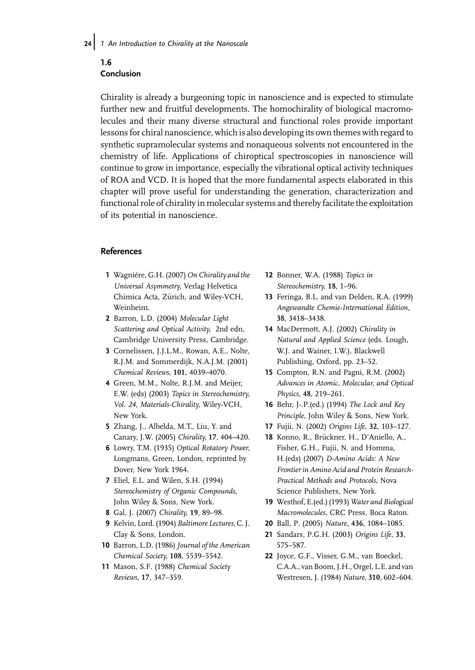### 1.6 Conclusion

Chirality is already a burgeoning topic in nanoscience and is expected to stimulate further new and fruitful developments. The homochirality of biological macromolecules and their many diverse structural and functional roles provide important lessons for chiral nanoscience, which is also developing its own themes with regard to synthetic supramolecular systems and nonaqueous solvents not encountered in the chemistry of life. Applications of chiroptical spectroscopies in nanoscience will continue to grow in importance, especially the vibrational optical activity techniques of ROA and VCD. It is hoped that the more fundamental aspects elaborated in this chapter will prove useful for understanding the generation, characterization and functional role of chirality in molecular systems and thereby facilitate the exploitation of its potential in nanoscience.

### References

- 1 Wagniére, G.H. (2007) On Chirality and the Universal Asymmetry, Verlag Helvetica Chimica Acta, Zürich, and Wiley-VCH, Weinheim.
- 2 Barron, L.D. (2004) Molecular Light Scattering and Optical Activity, 2nd edn, Cambridge University Press, Cambridge.
- 3 Cornelissen, J.J.L.M., Rowan, A.E., Nolte, R.J.M. and Sommerdijk, N.A.J.M. (2001) Chemical Reviews, 101, 4039–4070.
- 4 Green, M.M., Nolte, R.J.M. and Meijer, E.W. (eds) (2003) Topics in Stereochemistry, Vol. 24, Materials-Chirality, Wiley-VCH, New York.
- 5 Zhang, J., Albelda, M.T., Liu, Y. and Canary, J.W. (2005) Chirality, 17, 404–420.
- 6 Lowry, T.M. (1935) Optical Rotatory Power, Longmans, Green, London, reprinted by Dover, New York 1964.
- 7 Eliel, E.L. and Wilen, S.H. (1994) Stereochemistry of Organic Compounds, John Wiley & Sons, New York.
- 8 Gal, J. (2007) Chirality, 19, 89–98.
- 9 Kelvin, Lord. (1904) Baltimore Lectures, C. J. Clay & Sons, London.
- 10 Barron, L.D. (1986) Journal of the American Chemical Society, 108, 5539–5542.
- 11 Mason, S.F. (1988) Chemical Society Reviews, 17, 347–359.
- 12 Bonner, W.A. (1988) Topics in Stereochemistry, 18, 1–96.
- 13 Feringa, B.L. and van Delden, R.A. (1999) Angewandte Chemie-International Edition, 38, 3418–3438.
- 14 MacDermott, A.J. (2002) Chirality in Natural and Applied Science (eds. Lough, W.J. and Wainer, I.W.), Blackwell Publishing, Oxford, pp. 23–52.
- 15 Compton, R.N. and Pagni, R.M. (2002) Advances in Atomic, Molecular, and Optical Physics, 48, 219–261.
- 16 Behr, J-.P.(ed.) (1994) The Lock and Key Principle, John Wiley & Sons, New York.
- 17 Fujii, N. (2002) Origins Life, 32, 103–127.
- 18 Konno, R., Brückner, H., D'Aniello, A., Fisher, G.H., Fujii, N. and Homma, H.(eds) (2007) D-Amino Acids: A New Frontier in Amino Acid and Protein Research-Practical Methods and Protocols, Nova Science Publishers, New York.
- 19 Westhof, E.(ed.) (1993) Water and Biological Macromolecules, CRC Press, Boca Raton.
- 20 Ball, P. (2005) Nature, 436, 1084–1085.
- 21 Sandars, P.G.H. (2003) Origins Life, 33, 575–587.
- 22 Joyce, G.F., Visser, G.M., van Boeckel, C.A.A., van Boom, J.H., Orgel, L.E. and van Westresen, J. (1984) Nature, 310, 602–604.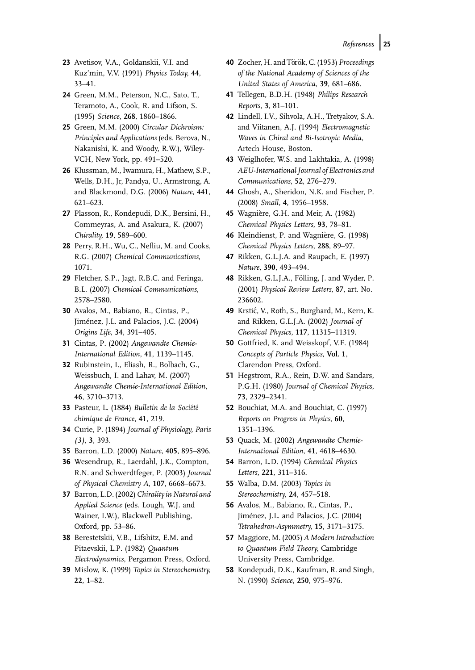- 23 Avetisov, V.A., Goldanskii, V.I. and Kuz'min, V.V. (1991) Physics Today, 44, 33–41.
- 24 Green, M.M., Peterson, N.C., Sato, T., Teramoto, A., Cook, R. and Lifson, S. (1995) Science, 268, 1860–1866.
- 25 Green, M.M. (2000) Circular Dichroism: Principles and Applications (eds. Berova, N., Nakanishi, K. and Woody, R.W.), Wiley-VCH, New York, pp. 491–520.
- 26 Klussman, M., Iwamura, H., Mathew, S.P., Wells, D.H., Jr, Pandya, U., Armstrong, A. and Blackmond, D.G. (2006) Nature, 441, 621–623.
- 27 Plasson, R., Kondepudi, D.K., Bersini, H., Commeyras, A. and Asakura, K. (2007) Chirality, 19, 589–600.
- 28 Perry, R.H., Wu, C., Nefliu, M. and Cooks, R.G. (2007) Chemical Communications, 1071.
- 29 Fletcher, S.P., Jagt, R.B.C. and Feringa, B.L. (2007) Chemical Communications, 2578–2580.
- 30 Avalos, M., Babiano, R., Cintas, P., Jimenez, J.L. and Palacios, J.C. (2004) Origins Life, 34, 391–405.
- 31 Cintas, P. (2002) Angewandte Chemie-International Edition, 41, 1139–1145.
- 32 Rubinstein, I., Eliash, R., Bolbach, G., Weissbuch, I. and Lahav, M. (2007) Angewandte Chemie-International Edition, 46, 3710–3713.
- 33 Pasteur, L. (1884) Bulletin de la Société chimique de France, 41, 219.
- 34 Curie, P. (1894) Journal of Physiology, Paris (3), 3, 393.
- 35 Barron, L.D. (2000) Nature, 405, 895–896.
- 36 Wesendrup, R., Laerdahl, J.K., Compton, R.N. and Schwerdtfeger, P. (2003) Journal of Physical Chemistry A, 107, 6668–6673.
- 37 Barron, L.D. (2002) Chirality in Natural and Applied Science (eds. Lough, W.J. and Wainer, I.W.), Blackwell Publishing, Oxford, pp. 53–86.
- 38 Berestetskii, V.B., Lifshitz, E.M. and Pitaevskii, L.P. (1982) Quantum Electrodynamics, Pergamon Press, Oxford.
- 39 Mislow, K. (1999) Topics in Stereochemistry, 22, 1–82.
- 40 Zocher, H. and Török, C. (1953) Proceedings of the National Academy of Sciences of the United States of America, 39, 681–686.
- 41 Tellegen, B.D.H. (1948) Philips Research Reports, 3, 81–101.
- 42 Lindell, I.V., Sihvola, A.H., Tretyakov, S.A. and Viitanen, A.J. (1994) Electromagnetic Waves in Chiral and Bi-Isotropic Media, Artech House, Boston.
- 43 Weiglhofer, W.S. and Lakhtakia, A. (1998) AEU-International Journal of Electronics and Communications, 52, 276–279.
- 44 Ghosh, A., Sheridon, N.K. and Fischer, P. (2008) Small, 4, 1956–1958.
- 45 Wagnière, G.H. and Meir, A. (1982) Chemical Physics Letters, 93, 78–81.
- 46 Kleindienst, P. and Wagnière, G. (1998) Chemical Physics Letters, 288, 89–97.
- 47 Rikken, G.L.J.A. and Raupach, E. (1997) Nature, 390, 493–494.
- 48 Rikken, G.L.J.A., Fölling, J. and Wyder, P. (2001) Physical Review Letters, 87, art. No. 236602.
- 49 Krstic, V., Roth, S., Burghard, M., Kern, K. and Rikken, G.L.J.A. (2002) Journal of Chemical Physics, 117, 11315–11319.
- 50 Gottfried, K. and Weisskopf, V.F. (1984) Concepts of Particle Physics, Vol. 1, Clarendon Press, Oxford.
- 51 Hegstrom, R.A., Rein, D.W. and Sandars, P.G.H. (1980) Journal of Chemical Physics, 73, 2329–2341.
- 52 Bouchiat, M.A. and Bouchiat, C. (1997) Reports on Progress in Physics, 60, 1351–1396.
- 53 Quack, M. (2002) Angewandte Chemie-International Edition, 41, 4618–4630.
- 54 Barron, L.D. (1994) Chemical Physics Letters, 221, 311–316.
- 55 Walba, D.M. (2003) Topics in Stereochemistry, 24, 457–518.
- 56 Avalos, M., Babiano, R., Cintas, P., Jimenez, J.L. and Palacios, J.C. (2004) Tetrahedron-Asymmetry, 15, 3171–3175.
- 57 Maggiore, M. (2005) A Modern Introduction to Quantum Field Theory, Cambridge University Press, Cambridge.
- 58 Kondepudi, D.K., Kaufman, R. and Singh, N. (1990) Science, 250, 975–976.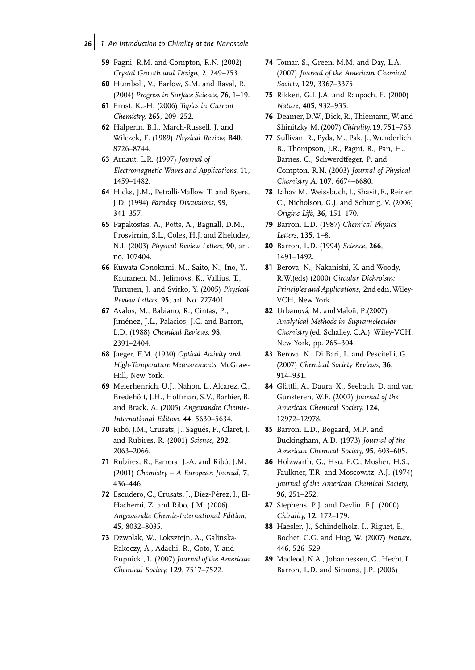- $26$  1 An Introduction to Chirality at the Nanoscale
	- 59 Pagni, R.M. and Compton, R.N. (2002) Crystal Growth and Design, 2, 249–253.
	- 60 Humbolt, V., Barlow, S.M. and Raval, R. (2004) Progress in Surface Science, 76, 1–19.
	- 61 Ernst, K..-H. (2006) Topics in Current Chemistry, 265, 209–252.
	- 62 Halperin, B.I., March-Russell, J. and Wilczek, F. (1989) Physical Review, B40, 8726–8744.
	- 63 Arnaut, L.R. (1997) Journal of Electromagnetic Waves and Applications, 11, 1459–1482.
	- 64 Hicks, J.M., Petralli-Mallow, T. and Byers, J.D. (1994) Faraday Discussions, 99, 341–357.
	- 65 Papakostas, A., Potts, A., Bagnall, D.M., Prosvirnin, S.L., Coles, H.J. and Zheludev, N.I. (2003) Physical Review Letters, 90, art. no. 107404.
	- 66 Kuwata-Gonokami, M., Saito, N., Ino, Y., Kauranen, M., Jefimovs, K., Vallius, T., Turunen, J. and Svirko, Y. (2005) Physical Review Letters, 95, art. No. 227401.
	- 67 Avalos, M., Babiano, R., Cintas, P., Jimenez, J.L., Palacios, J.C. and Barron, L.D. (1988) Chemical Reviews, 98, 2391–2404.
	- 68 Jaeger, F.M. (1930) Optical Activity and High-Temperature Measurements, McGraw-Hill, New York.
	- 69 Meierhenrich, U.J., Nahon, L., Alcarez, C., Bredehöft, J.H., Hoffman, S.V., Barbier, B. and Brack, A. (2005) Angewandte Chemie-International Edition, 44, 5630–5634.
	- 70 Ribó, J.M., Crusats, J., Sagues, F., Claret, J. and Rubires, R. (2001) Science, 292, 2063–2066.
	- 71 Rubires, R., Farrera, J.-A. and Ribó, J.M. (2001) Chemistry – A European Journal, 7, 436–446.
	- 72 Escudero, C., Crusats, J., Díez-Pérez, I., El-Hachemi, Z. and Rıbo, J.M. (2006) Angewandte Chemie-International Edition, 45, 8032–8035.
	- 73 Dzwolak, W., Loksztejn, A., Galinska-Rakoczy, A., Adachi, R., Goto, Y. and Rupnicki, L. (2007) Journal of the American Chemical Society, 129, 7517–7522.
- 74 Tomar, S., Green, M.M. and Day, L.A. (2007) Journal of the American Chemical Society, 129, 3367–3375.
- 75 Rikken, G.L.J.A. and Raupach, E. (2000) Nature, 405, 932–935.
- 76 Deamer, D.W., Dick, R., Thiemann, W. and Shinitzky, M. (2007) Chirality, 19, 751-763.
- 77 Sullivan, R., Pyda, M., Pak, J., Wunderlich, B., Thompson, J.R., Pagni, R., Pan, H., Barnes, C., Schwerdtfeger, P. and Compton, R.N. (2003) Journal of Physical Chemistry A, 107, 6674–6680.
- 78 Lahav, M.,Weissbuch, I., Shavit, E., Reiner, C., Nicholson, G.J. and Schurig, V. (2006) Origins Life, 36, 151–170.
- 79 Barron, L.D. (1987) Chemical Physics Letters, 135, 1–8.
- 80 Barron, L.D. (1994) Science, 266, 1491–1492.
- 81 Berova, N., Nakanishi, K. and Woody, R.W.(eds) (2000) Circular Dichroism: Principles and Applications, 2nd edn, Wiley-VCH, New York.
- 82 Urbanova, M. andMaloň, P.(2007) Analytical Methods in Supramolecular Chemistry (ed. Schalley, C.A.), Wiley-VCH, New York, pp. 265–304.
- 83 Berova, N., Di Bari, L. and Pescitelli, G. (2007) Chemical Society Reviews, 36, 914–931.
- 84 Glättli, A., Daura, X., Seebach, D. and van Gunsteren, W.F. (2002) Journal of the American Chemical Society, 124, 12972–12978.
- 85 Barron, L.D., Bogaard, M.P. and Buckingham, A.D. (1973) Journal of the American Chemical Society, 95, 603–605.
- 86 Holzwarth, G., Hsu, E.C., Mosher, H.S., Faulkner, T.R. and Moscowitz, A.J. (1974) Journal of the American Chemical Society, 96, 251–252.
- 87 Stephens, P.J. and Devlin, F.J. (2000) Chirality, 12, 172–179.
- 88 Haesler, J., Schindelholz, I., Riguet, E., Bochet, C.G. and Hug, W. (2007) Nature, 446, 526–529.
- 89 Macleod, N.A., Johannessen, C., Hecht, L., Barron, L.D. and Simons, J.P. (2006)